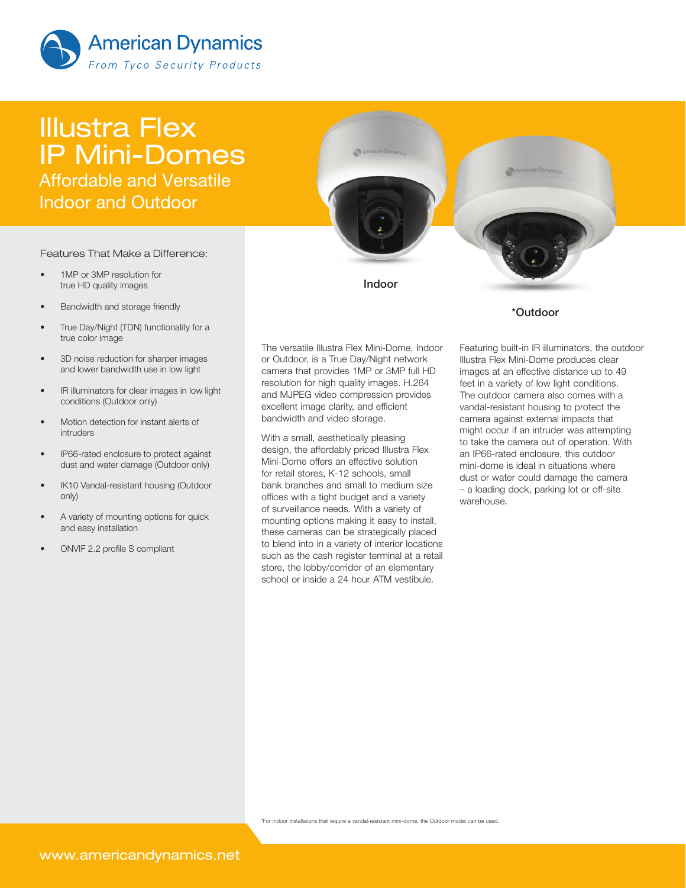

# Illustra Flex IP Mini-Domes Affordable and Versatile Indoor and Outdoor

#### Features That Make a Difference:

- 1MP or 3MP resolution for true HD quality images
- Bandwidth and storage friendly
- True Day/Night (TDN) functionality for a true color image
- 3D noise reduction for sharper images and lower bandwidth use in low light
- IR illuminators for clear images in low light conditions (Outdoor only)
- Motion detection for instant alerts of intruders
- IP66-rated enclosure to protect against dust and water damage (Outdoor only)
- IK10 Vandal-resistant housing (Outdoor only)
- A variety of mounting options for quick and easy installation
- ONVIF 2.2 profile S compliant

The versatile Illustra Flex Mini-Dome, Indoor or Outdoor, is a True Day/Night network camera that provides 1MP or 3MP full HD resolution for high quality images. H.264 and MJPEG video compression provides excellent image clarity, and efficient bandwidth and video storage.

Indoor

With a small, aesthetically pleasing design, the affordably priced Illustra Flex Mini-Dome offers an effective solution for retail stores, K-12 schools, small bank branches and small to medium size offices with a tight budget and a variety of surveillance needs. With a variety of mounting options making it easy to install, these cameras can be strategically placed to blend into in a variety of interior locations such as the cash register terminal at a retail store, the lobby/corridor of an elementary school or inside a 24 hour ATM vestibule.

\*Outdoor

American Dynamic

Featuring built-in IR illuminators, the outdoor Illustra Flex Mini-Dome produces clear images at an effective distance up to 49 feet in a variety of low light conditions. The outdoor camera also comes with a vandal-resistant housing to protect the camera against external impacts that might occur if an intruder was attempting to take the camera out of operation. With an IP66-rated enclosure, this outdoor mini-dome is ideal in situations where dust or water could damage the camera – a loading dock, parking lot or off-site warehouse.